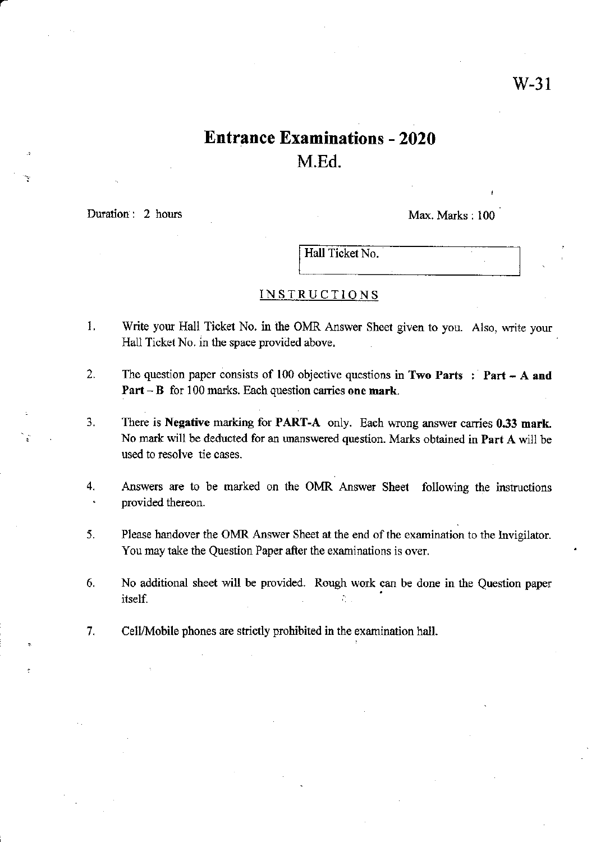# Entrance Examinations - 2020 M.Ed.

Duration : 2 hours Max. Marks : 100

a

Hall Ticket No.

## INSTRUCTIONS

- 1. Write your Hall Ticket No. in the OMR Answer Sheet given to you. Also, write your Hall Ticket No. in the space provided above,
- 2. The question paper consists of 100 objective questions in Two Parts : Part A and Part  $-$  B for 100 marks. Each question carries one mark.
- 3. There is Negative marking for PART-A only. Each wrong answer canies 0.33 mark. No mark will be deducted for an unanswered question. Marks obtained in Part A will be used to resolve tie cases.
- 4. Answers are to be marked on the OMR Answer Sheet following the instructions ' provided thereon.
- 5. Please handover the OMR Answer Sheet at the end of the examination to the lnviglator. You may take the Question Paper after the examinations is over.
- 6. No additional sheet will be provided. Rough work can be done in the Question paper  $\frac{1}{2}$  is the set of  $\frac{1}{2}$  is the set of  $\frac{1}{2}$ .
- 7. Cell/Mobile phones are strictly prohibited in the examination hall.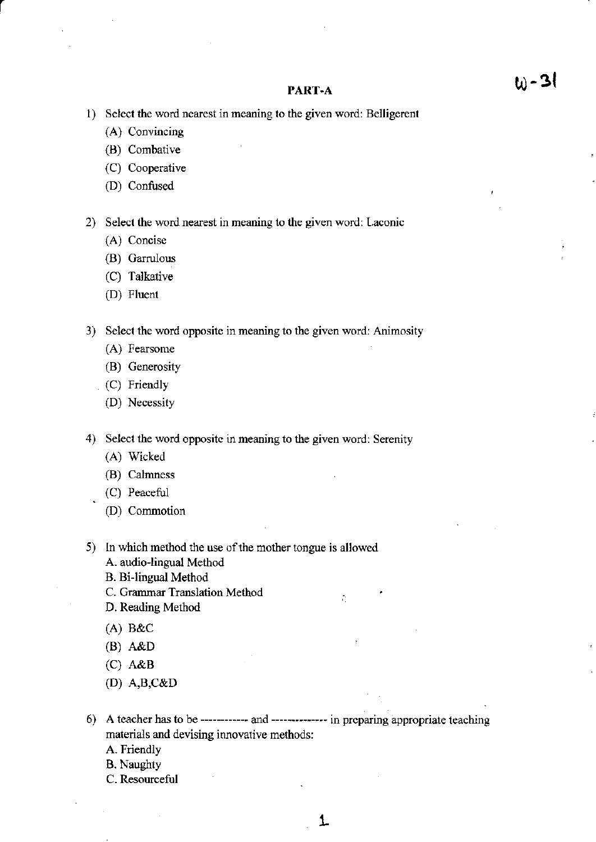#### PART-A

- 1) Select the word nearest in meaning to the given word: Belligerent
	- (A) Convincing
	- (B) Combative
	- (C) Cooperative
	- (D) Confused

2) Select the word nearest in meaning to the given word: Laconic

- (A) Concise
- (B) Garrulous
- (C) Talkative
- (D) Fluent

3) Select the word opposite in meaning to the given word: Animosity

- (A) Fearsome
- (B) Generosity
- (C) Friendly
- (D) Necessity

4) Select the word opposite in meaning to the given word: Serenity

- (A) Wicked
- (B) Calmness
- (C) Peaceful
- (D) Commotion
- 5) In which method the use of the mother tongue is allowed
	- A. audio-lingual Method
	- **B.** Bi-lingual Method
	- C. Grammar Translation Method
	- D. Reading Method
	- $(A)$  B&C
	- $(B)$  A&D
	- $(C)$  A&B
	- (D)  $A,B,C&D$
- 6) A teacher has to be ------------ and -------------- in preparing appropriate teaching materials and devising innovative methods:
	- A. Friendly
	- **B.** Naughty
	- C. Resourceful

 $\tilde{C}$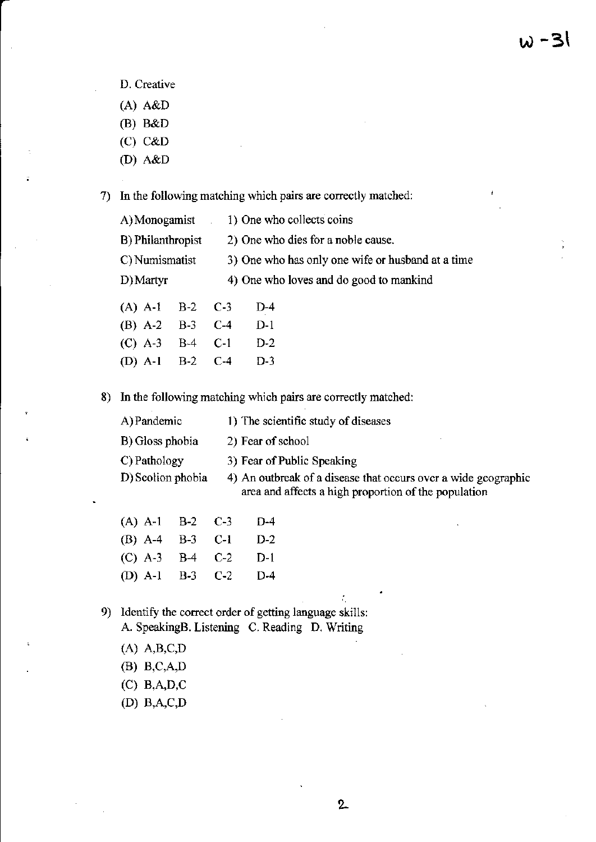- D. Creative
- (A) A&D
- (B) B&D
- (c) c&D
- (D) A&D

7) In the following matching which pairs are conectly matched:

| A) Monogamist     |  |                                                   | 1) One who collects coins |  |
|-------------------|--|---------------------------------------------------|---------------------------|--|
| B) Philanthropist |  | 2) One who dies for a noble cause.                |                           |  |
| C) Numismatist    |  | 3) One who has only one wife or husband at a time |                           |  |
| D) Martyr         |  | 4) One who loves and do good to mankind           |                           |  |
| $(A)$ A-1 B-2 C-3 |  |                                                   | D-4                       |  |
| $(B)$ A-2 B-3     |  | $C-4$                                             | D-1                       |  |
| $(C)$ A-3 B-4     |  | $C-1$                                             | $D-2$                     |  |

8) In the following matching which pairs are corectly matched:

| A) Pandemic       | 1) The scientific study of diseases                                                                                    |
|-------------------|------------------------------------------------------------------------------------------------------------------------|
| B) Gloss phobia   | 2) Fear of school                                                                                                      |
| C) Pathology      | 3) Fear of Public Speaking                                                                                             |
| D) Scolion phobia | 4) An outbreak of a disease that occurs over a wide geographic<br>area and affects a high proportion of the population |

(A) A-1 B-2 C-3 D-4 (B) A-4 B-3 C-l D-2 (c) A-3 8,4 C-2 D-1 (D) A-l B-3 C-2 D-4

(D) A-l B-2 C-4 D-3

- 9) Identify the correct order of getting language skills: A. SpeakingB. Listening C. Reading D. Writing
	- (A) A,B,C,D
	- @) B,C,A,D
	- (c) B,A,D,C
	- (D) B.A.C.D

:'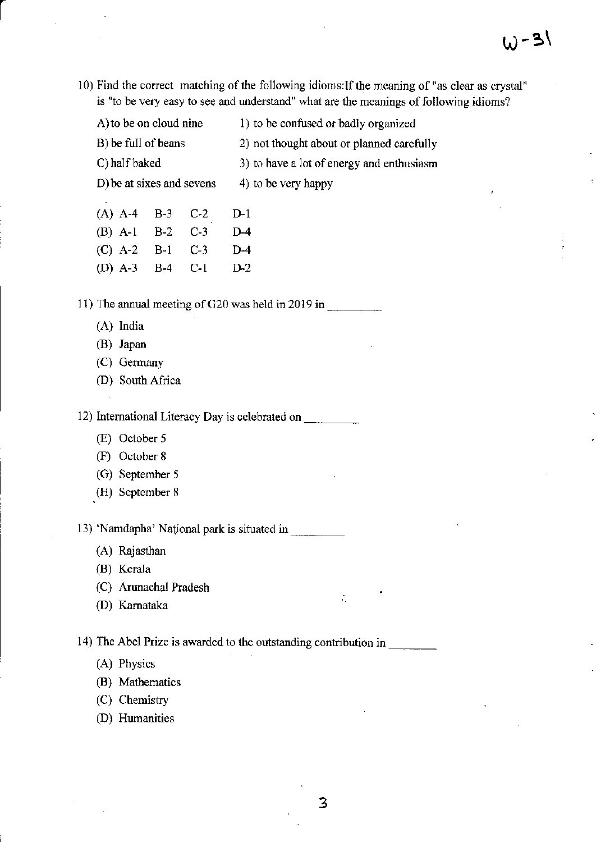10) Find the correct matching of the following idioms: If the meaning of "as clear as crystal" is "to be very easy to see and understand" what are the mcanings of following idioms?

| A) to be on cloud nine | 1) to be confused or badly organized |
|------------------------|--------------------------------------|
|                        |                                      |

B) be full of beans 2) not thought about or planned carefully

C) half baked 3) to have a lot of energy and enthusiasm

D) be at sixes and sevens  $4)$  to be very happy

- (A) A-4 B-3 C-2 D-l
- (B) A-1 B-2 C-3 D-4
- (c) A-2 B-1 C-3 D-4
- (D) A-3 B-4 C-l D-2

11) The annual meeting of G20 was held in 2019 in

- (A) India
- (B) Japan
- (C) Germany
- (D) South Africa

12) Intemational Literacy Day is celebrated on

- (E) October 5
- (F) October <sup>8</sup>
- (G) September <sup>5</sup>
- (H) September <sup>8</sup>

13) 'Namdapha' National park is situated in

- (A) Rajasthan
- (B) Kerala
- (C) Arunachal Pradesh
- (D) Kamataka

14) The Abel Prize is awarded to the outstarding contribution in

- (A) Physics
- (B) Mathematics
- (C) Chemistry
- (D) Humanities

÷,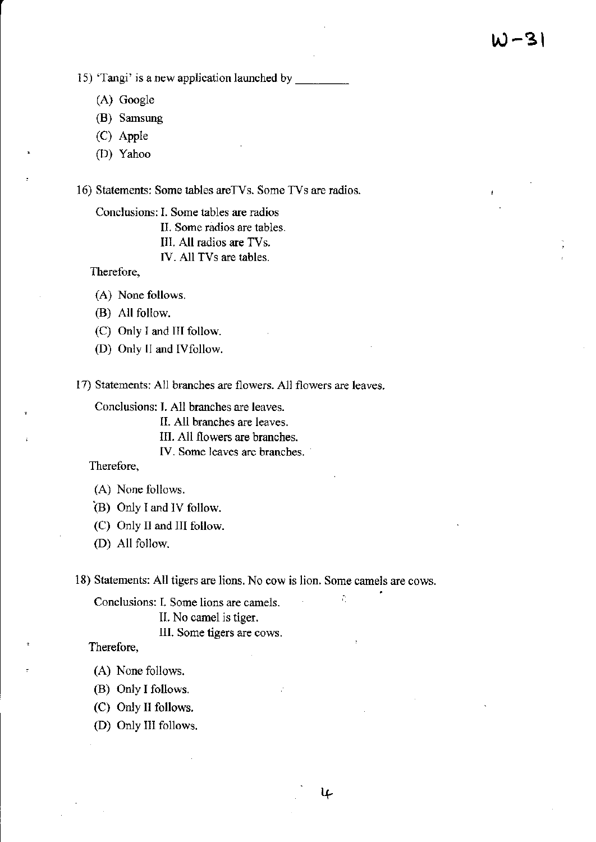i5) 'Tangi' is a new application launched by

- (A) Google
- (B) Samsung
- (C) Apple
- (D) Yahoo

16) Statements: Some tables arcTvs. Some TVs are radios.

Conclusions: I. Some tables are radios

II. Some radios are tables.

- lll. All radios are fVs
- lV. All TVs are tables.

Therefore,

- (A) None follows.
- (B) All follow.
- (C) Only I and lll follow
- (D) Only II and IVfollow.

17) Statements: All branches are flowers. All flowers are leaves.

Conclusions: L All branches are leaves.

II. All branches are leavcs.

III. All flowers are branches.

IV. Some leaves are branches.

Therefore.

- (A) None follows.
- $(B)$  Only I and IV follow.
- (C) Only II and III follow.
- (D) All follow.

18) Statements: All tigers are lions. No cow is lion. Sorne camels are cows.

l+

Conclusions: I. Some lions are camels.

IL No camel is tiger.

lll. Some tigers arc cows.

Therefore,

- (A) None follows.
- (B) Only I follows.
- (C) Only II follows.

(D) Only III follows.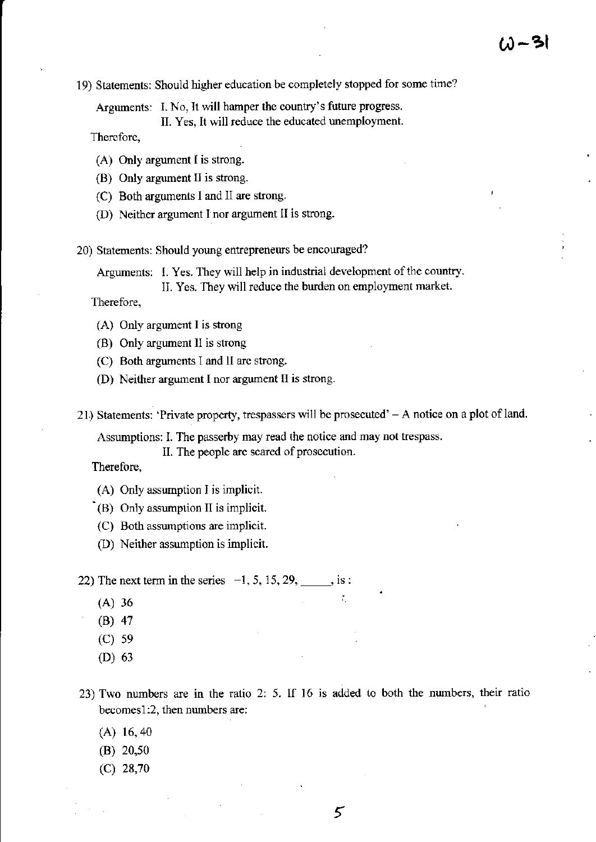19) Statements: Should higher education be completely stopped for some time?

Arguments: I. No, It will hamper the country's future progress. II. Yes, It will reduce the educated unemployment.

Thercfore,

- (A) Only argument I is strong.
- (B) Only argument II is strong.
- (C) Both arguments I and II are strong.
- (D) Neither argument I nor argument II is strong.

20) Statements: should young entrepreneus be encouraged?

Arguments: I. Yes. They will help in industrial development of the country.

II. Yes. They will reduce the burden on employment market.

Therefore,

- (A) Only argument I is strong
- (B) Only argument ll is strong
- $(C)$  Both arguments I and II are strong.
- (D) Neither argument I nor argument II is strong.
- 21) Statements: 'Private property, trespassers will be prosecuted' A notice on a plot of land.

Assumptions: I. The passerby may read the notice and may not trespass.

II. The people are scared of prosecution.

Therefore,

- (A) Only assumption I is implicit.
- (B) Only assumption II is implicit.
- (C) Both assumptions are implicit.
- (D) Neither assumption is implicit.

22) The next term in the series  $-1$ , 5, 15, 29, is :

- $(A) 36$
- (B) 47
- (c) <sup>59</sup>
- (D) <sup>63</sup>
- 23) Two numbers are in the ratio 2: 5. If 16 is added to both the numbers, their ratio becomes1:2, then numbers are:
	- (A) 16,40
	- $(B)$  20,50
	- (c) 28,70

Ť.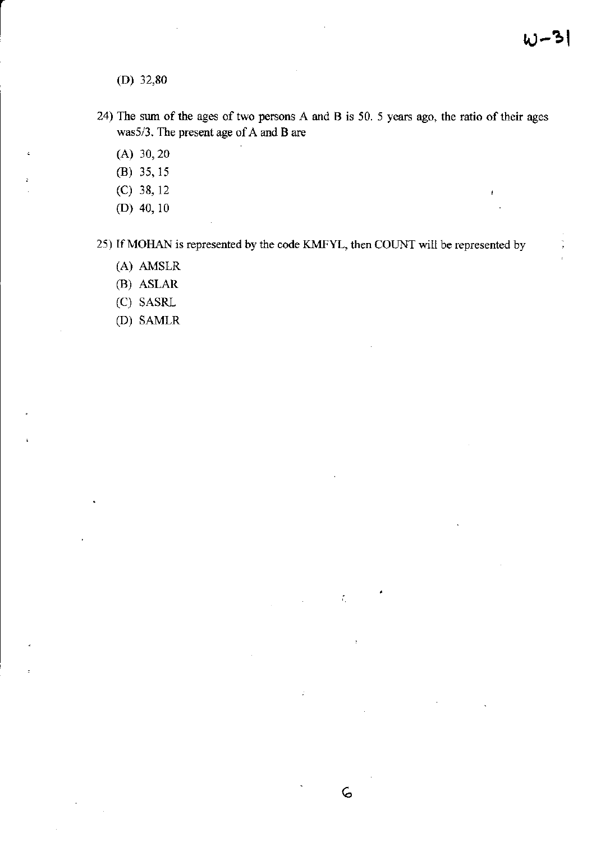(D) 32,80

- 24) The sum of the ages of two persons A and B is 50. 5 years ago, the ratio of their ages was5/3 , The present age of A and B are
	- (A) 30,20
	- (B) 35, <sup>15</sup>
	- (c) 38, <sup>12</sup>
	- (D) 40, l0

25) If MOHAN is represented by the code KMFYL, then COUNT will be represented by

6

 $\tilde{f}_1$ 

- (A) AMSLR
- (B) ASLAR
- (C) SASRL
- (D) SAMLR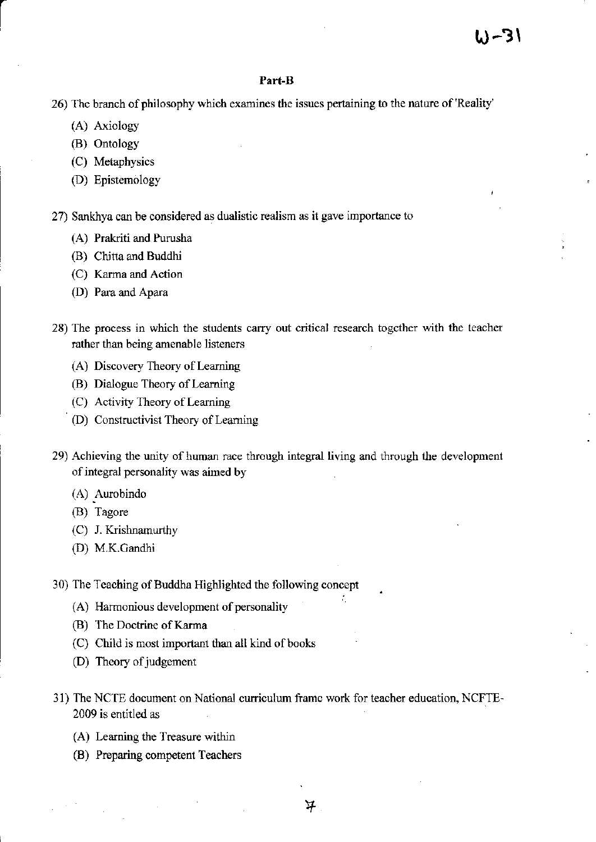## Part-B

26) The branch of philosophy which examines the issues pertaining to the nature of 'Reality'

- (A) Axiology
- (B) Ontology
- (C) Metaphysics
- (D) Epistemology

27) Sankhya can be considered as dualistic realism as it gave importance to

- (A) Prakriti and Purusha
- (B) Chitta and Buddhi
- (C) Karma and Action
- (D) Para and Apara
- 28) The process in which the students carry out critical research together with the teacher rather than being amenable listeners
	- (A) Discovery Theory of Leaming
	- (B) Dialogue Theory of Learning
	- (C) Activjty Theory of Leaming
	- (D) Constructivist Theory of Leaming
- 29) Achieving the unity of human race through integral living and through the development of integral personality was aimed by
	- (A) Aurobindo
	- (B) Tagore
	- (C) J. Krishnanunhy
	- (D) M.K.Oandhi
- 30) The Teaching of Buddha Highlighted the following concept
	- (A) Harmonious development of personality
	- (B) The Doctrine of Karma
	- (C) Child is most important than all kind of books
	- (D) Theory of judgement
- 31) The NCTE document on National curriculum frame work for teacher education, NCFTE-2009 is entitled as
	- (A) Learning the Treasue within
	- (B) Preparing competent Teachers

÷,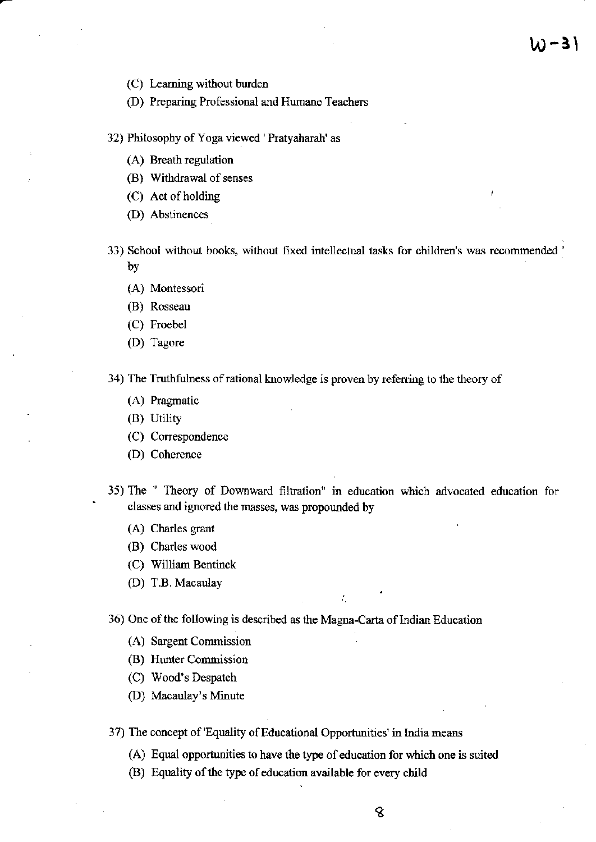- (C) Leaming without burden
- (D) Preparing Professional and Humane Teachers
- 32) Philosophy of Yoga viewed ' Pratyaharah' as
	- (A) Breath regulation
	- (B) Withdrawal of senses
	- $(C)$  Act of holding
	- (D) Abstinences
- 33) School without books, without fixed intellectual tasks for children's was recommended by
	- (A) Montessori
	- (B) Rosseau
	- (C) Froebel
	- (D) Tagore

34) The Truthfulness of rational knowledge is proven by referring to the theory of

- (A) Pragmatic
- (B) Utility
- (C) Conespondence
- (D) Coherence
- 35) The " Theory of Downward filtration" in education which advocated education for classes and ignored the masses, was propounded by

÷.

- (A) Charles grant
- (B) Charles wood
- (C) William Bentinck
- (D) T.B. Macaulay
- 36) One of the following is described as the Magna-Carta of Indian Education
	- {Al Sargent Commission
	- (B) Hunter Comnissioo
	- (C) Wood's Despatch
	- (D) Macaulay's Minute

37) The concept of 'Equality of Educational Opportunities' in India means

- (A) Equal opportunities to have the type of education for which one is suited
- (B) Equality of the type of education available for every child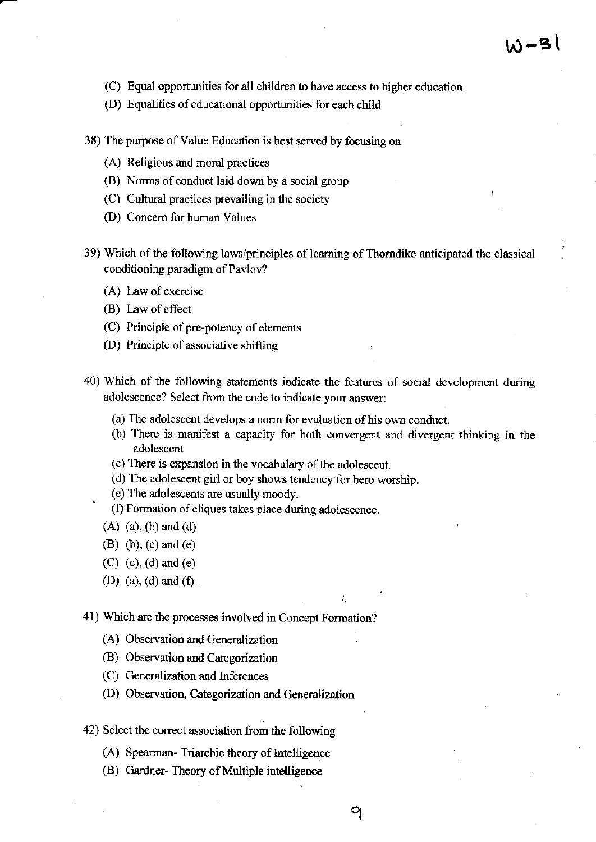- (C) Equal opportunities for all children to have access to higher education.
- (D) Equalities of educational opportunities for each child
- 38) The purpose of Value Education is best served by focusing on
	- $(A)$  Religious and moral practices
	- (B) Norms of conduct laid down by a social group
	- (C) Cultural practices prevailing in the society
	- (D) Concem for human Values
- 39) Which of the following laws/principles of learning of Thorndike anticipated the classical conditioning paradigm of Pavlov?
	- (A) Law of exercise
	- $(B)$  Law of effect
	- (C) Principle of pre-potency of elements
	- $(D)$  Principle of associative shifting
- 40) Which of the following statements indicate the features of social development during adolescence? Select ftom the code to indicate your answer:
	- (a) The adolescent develops a norm for evaluation of his own conduct.
	- (b) There is manifest a capacity for both convergent and divergent thinking in the adolescent
	- (c) There is expansion in the vocabulary of the adolescent.
	- (d) The adolescent girl or boy shows tendency for hero worship.
	- (e) The adolescents are usually moody.
	- (f) Formation of cliques takes place during adolescence.
	- (A) (a). (b) and (d)

.

- (B) (b), (c) and (e)
- (C) (c), (d) and (e)
- (D) (a), (d) and (f)

41) Which are the processes involved in Concept Fomation?

- (A) Observation and Generalization
- (B) Observation and Categorization
- (C) Generalization and Inferences
- (D) Observation, Categorization and Generalization
- 42) Select the corect associalion from the following
	- (A) Spearman-Triarchic theory of Intelligence
	- (B) Gardner- Theory of Multiple intelligence

: .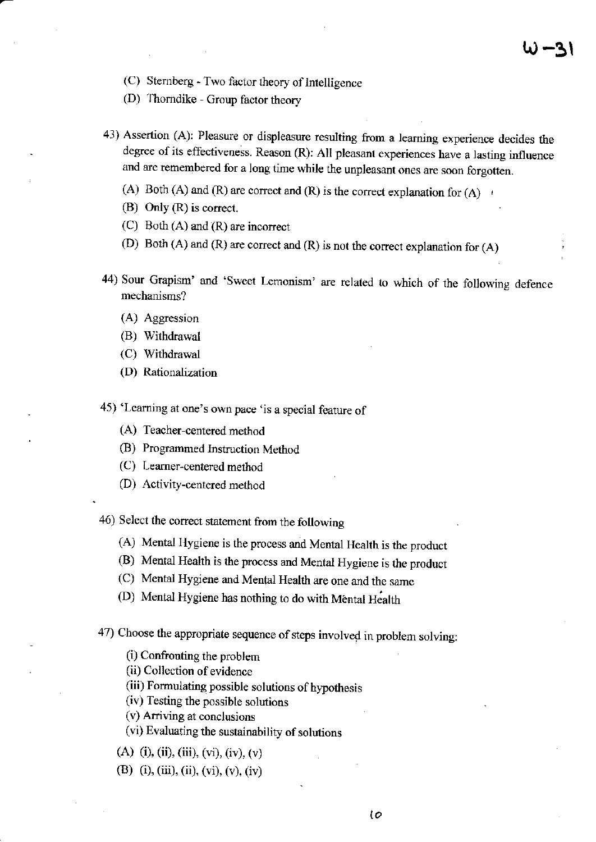- (C) Sternberg Two factor theory of Intelligence
- (D) 1'homdike Group factor theory
- 43) Assertion (A): Pleasure or displeasure resulring from a lcaming experience decides the degree of its effectiveness. Reason (R): All pleasant experiences have a lasting influence and are remembered for a long time while the unpleasant ones are soon forgotten.
	- (A) Both (A) and (R) are correct and (R) is the correct explanation for (A)  $r$
	- (B) Only  $(R)$  is correct.
	- (C) Both (A) and (R) are incorect
	- (D) Both (A) and (R) are correct and (R) is not the correct explanation for  $(A)$
- 44) Sour Grapism' and 'Sweet Lemonism' are related to which of the following defence mechanisms?
	- (A) Aggression
	- (B) Withdrawal
	- (C) Withdrawal
	- (D) Rationalization
- 45) 'Learning at one's own pace 'is a special feature of
	- (A) Teacher-centered method
	- (B) Programmed Instuction Method
	- (C) Learner-centered method
	- (D) Activity-centered method

46) Select the correct statement from the following

- (A) Mental Hygiene is the process and Mental Health is the product
- (B) Mental Health is the process and Mental Hygiene is the product
- (C) Mental Hygiene and Mental Health are one and the samc
- (D) Mental Hygiene has nothing to do with Mental Health

47) Choose the appropriate sequence of steps involved in problem solving:

- $(i)$  Confronting the problem
- (ii) Collcction of evidence
- (iii) Formulating possible solutions of hypothesis
- (ir) fesring rhe possible solurions
- (v) Arriving at conclusions

(vi) Evaluating the sustainability of solutions

- (A) (i), (ii), (iii), (vi), (iv), (v)
- @) (i), (iii), (ii), (vi), (v), (iv)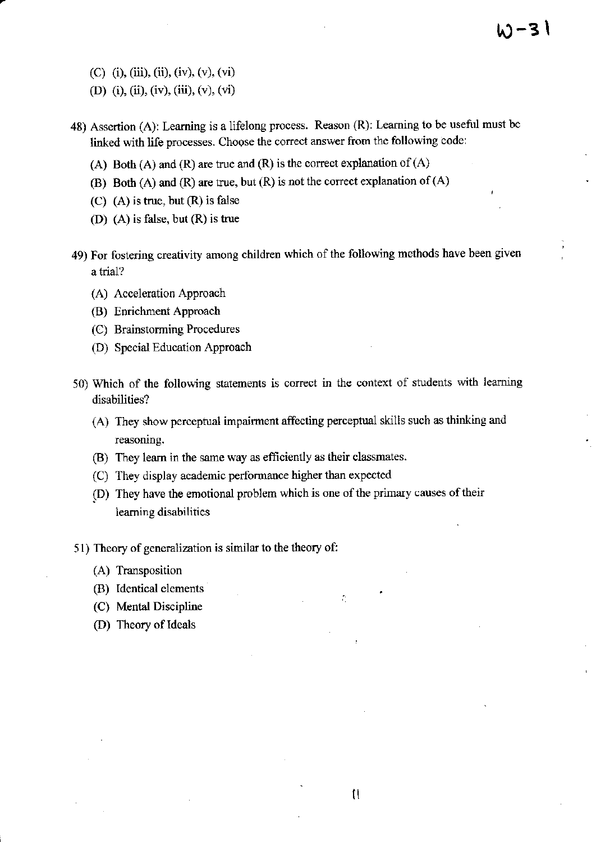- (C) (i), (iii), (ii), (iv), (v), (vi)
- (D) (i), (ii), (iv), (iii), (v), (vi)
- 48) Assertion (A): Learning is a lifelong process. Reason (R): Learning to be useful must be linked with life processes. Choose the correct answer from the following code:

4)-31

- (A) Both (A) and (R) are true and (R) is the correct explanation of  $(A)$
- (B) Both (A) and (R) are true, but  $(R)$  is not the correct explanation of  $(A)$
- $(C)$  (A) is true, but  $(R)$  is false
- (D) (A) is false, but (R) is true
- 49) For fostering creativity among children which of the following methods have been given a trial?
	- (A) Acceleration Approach
	- (B) Enrichment Approach
	- (C) Brainstorming Procedures
	- (D) Special Education Approach
- 50) Which of the following statements is conect in the context of students with leaming disabilities?
	- (A) They show perceptual impairment affecting perceptual skills such as thinking and reasoning.
	- (B) They learn in the same way as efficiently as their classmates.
	- (C) They display academic performance higher than expected
	- (D) They have the emotional problem which is one of the primary causes of their learning disabilities
- 51) Theory of generalization is similar to the theory of:
	- (A) Transposition
	- (B) Identical elements
	- (C) Mental Discipline
	- (D) Theory of Ideals

÷.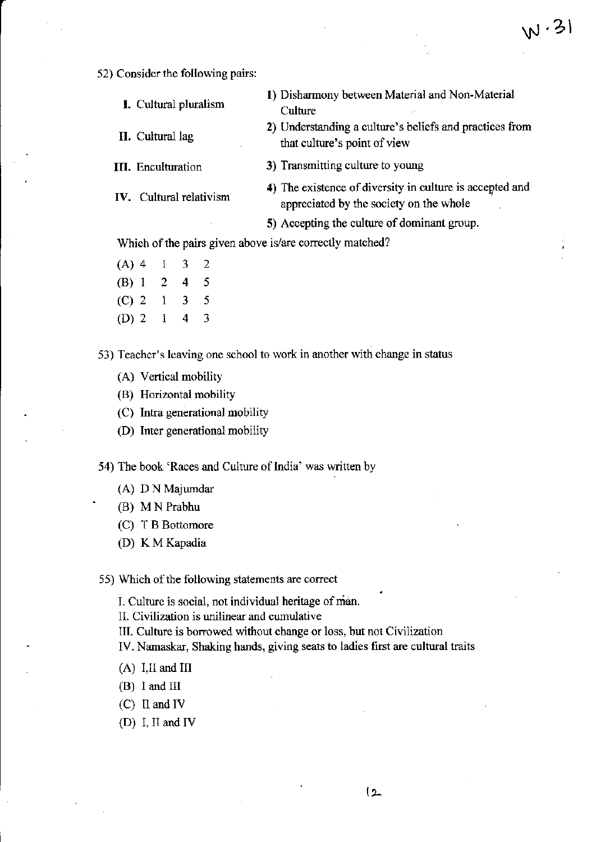## 52) Consider the following pairs:

| <b>I.</b> Cultural pluralism | 1) Disharmony between Material and Non-Material<br>Culture                              |
|------------------------------|-----------------------------------------------------------------------------------------|
| <b>II.</b> Cultural lag      | 2) Understanding a culture's beliefs and practices from<br>that culture's point of view |
| <b>III.</b> Enculturation    | 3) Transmitting culture to young                                                        |
|                              |                                                                                         |

IV. Cultural relativism

4) The existence of diversity in culture is accepted and appreciated by the society on the whole

5) Accepting the culture of dominant group.

Which of the pairs given above is/are correctly matched?

 $(A)$  4  $\mathbf{1}$ 3 2  $(B)$  1  $\overline{2}$  $\overline{\mathbf{4}}$ 5 5  $(C)$  2  $\overline{\mathbf{3}}$  $\mathbf{I}$  $(D)$  2  $\mathbf{1}$ 4 3

53) Teacher's leaving one school to work in another with change in status

- (A) Vertical mobility
- (B) Horizontal mobility
- (C) Intra generational mobility
- (D) Inter generational mobility

54) The book 'Races and Culture of India' was written by

- (A) D N Majumdar
- (B) M N Prabhu
- (C) T B Bottomore
- (D) K M Kapadia

55) Which of the following statements are correct

I. Culture is social, not individual heritage of man.

II. Civilization is unilinear and cumulative

- III. Culture is borrowed without change or loss, but not Civilization
- IV. Namaskar, Shaking hands, giving seats to ladies first are cultural traits
- $(A)$  I,II and III
- $(B)$  I and III
- $(C)$  II and IV
- (D) I, II and IV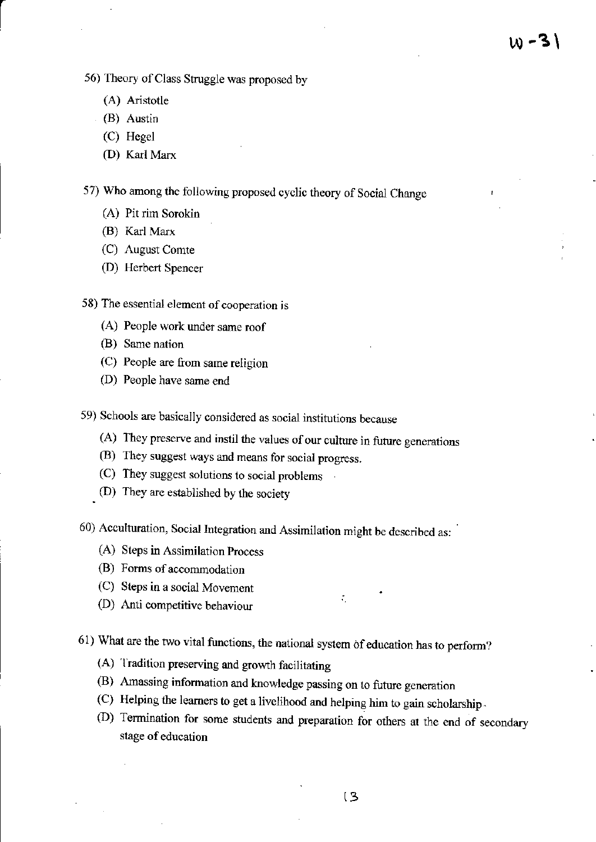- 56) Theory of Class Struggle was proposed by
	- (A) Aristotle
	- (B) Austin
	- (C) Hegel
	- (D) Karl Marx

57) Who among the following proposed cyclic theory of Social Change

- (A) Pit rim Sorokin
- (B) Karl Marx
- (C) August Comte
- (D) Herbert Spencer

58) The essential element of cooperation is

- (A) People work under same roof
- (B) Same nation
- (C) People are from same religion
- (D) People have same end

59) Schools are basically considered as social institutions because

- (A) They preserve and instil the values of our culture in future generations
- (B) They suggest ways and means for social progress.
- (C) They suggest solutions to social problems
- (D) They are established by the society
- 60) Acculturation, Social Integration and Assimilation might be described as:
	- (A) Steps in Assimilation Process
	- (B) Forms of accommodation
	- (C) Steps in a social Movement
	- (D) Anti competitive behaviour
- 61) What are the two vital functions, the national system of education has to perform?
	- (A) Tradition preserving and growth facilitating
	- (B) Amassing information and knowledge passing on to future generation
	- (C) Helping the learners to get a livelihood and helping him to gain scholarship.
	- (D) Termination for some students and preparation for others at the end of secondary stage of education

÷.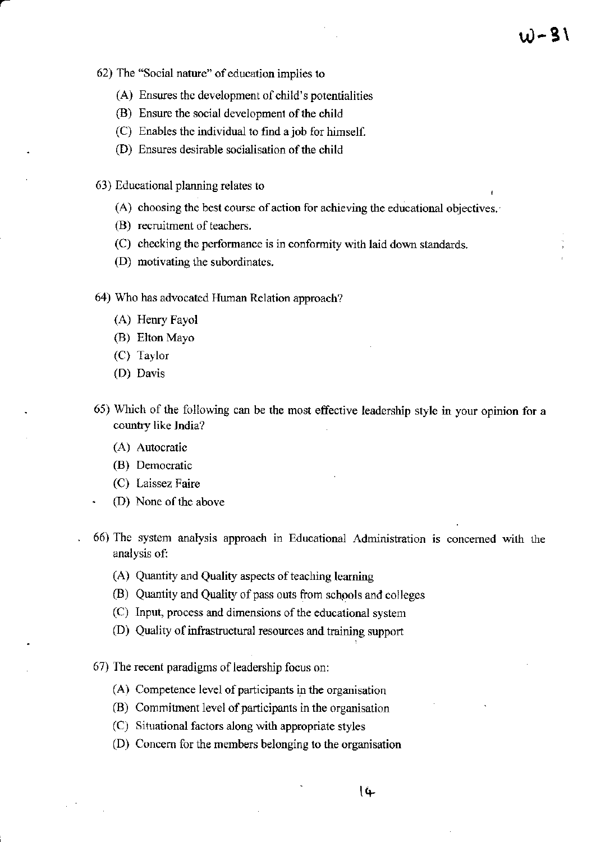- 62) The "Social nature" of education implies to
	- (A) Ensures the development of child's potentialities
	- (B) Ensure the social development of the child
	- (C) Enables the individual to find a job for himself.
	- (D) Ensures desirable socialisation of the child
- 63) Educational planning relates to
	- (A) choosing the best course of action for achieving the educational objectives.
	- (B) recruitment of teachers.
	- (C) checking the performance is in conformity with laid down standards.
	- (D) motivating the subordinates.
- 64) Who has advocated Human Relation approach?
	- (A) Henry Fayol
	- (B) Elton Mayo
	- (C) Taylor
	- (D) Davis
- 65) Which of the following can be the most effective leadership style in your opinion for a country like India?
	- (A) Autocratic
	- (B) Democratic
	- (C) Laissez Faire
	- (D) None of the above
- 66) The system analysis approach in Educational Administration is concerned with the analysis of:
	- (A) Quantity and Quality aspects of teaching learning
	- (B) Quantity and Quality of pass outs from schools and colleges
	- (C) Input, process and dimensions of the educational system
	- (D) Quality of infrastructural resources and training support
- 67) The recent paradigms of leadership focus on:
	- (A) Competence level of participants in the organisation
	- (B) Commitment level of participants in the organisation
	- (C) Situational factors along with appropriate styles
	- (D) Concern for the members belonging to the organisation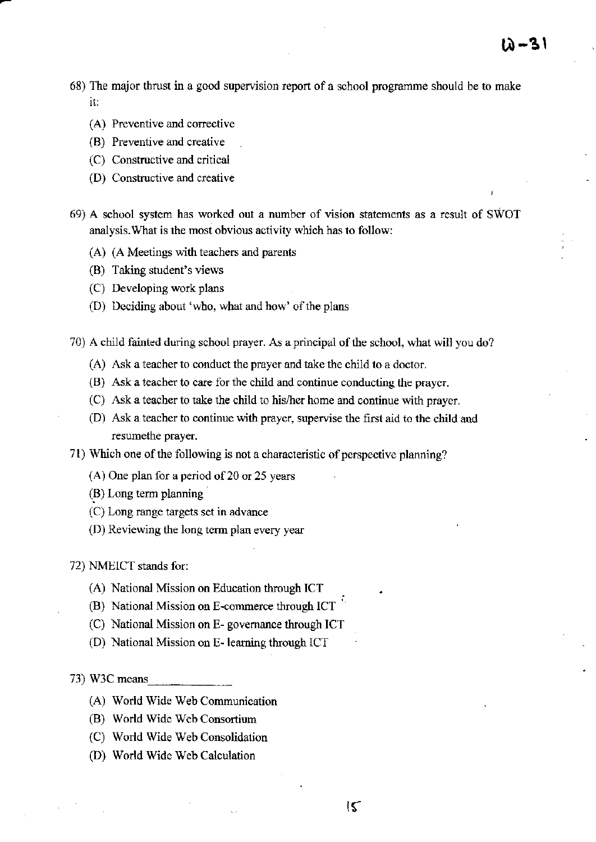68) The major thrust in a good supervision report of a school programme should be to make it:

12 – 31

- (A) Preventive and corrective
- (B) Preventive and creative
- (C) Constructive and critical
- (D) Constructive and creative
- 69) A school system has worked out a number of vision statements as a result of SWOT analysis. What is the most obvious activity which has to follow:
	- (A) (A Meetings with teachers and parents
	- (B) Taking student's views
	- (C) Developing work plans
	- (D) Deciding about 'who, what and how' of the plans

70) A child fainted during school prayer. As a principal of the school, what will you do?

- (A) Ask a teacher to conduct the prayer and take the child to a doctor.
- (B) Ask a leacher to care for the child and continue conducting the praycr.
- (C) Ask a teacher to take the child to his/hor home and continue with prayer.
- (D) Ask a teacher to conlinue with prayer, supervise the first aid to the child and resumethe prayer.
- 71) Which one of the following is not a characteristic of perspective planning?
	- (A) One plan for a period of 20 or 25 yeam
	- (B) Long term planning
	- (C) Long range targets set in advance
	- $(D)$  Reviewing the long term plan every year

72) NMEICT stands for:

- (A) National Mission on Education through ICT
- (B) National Mission on E-commerce through ICT
- (C) National Mission on E- governance through IC I
- (D) National Mission on E- leaming through ICT

73) W3C means

- (A) World Wide Web Comrnunication
- (B) World Wide Web Consortium
- (C) World Wide Web Consolidation
- (D) World Wide Web Calculation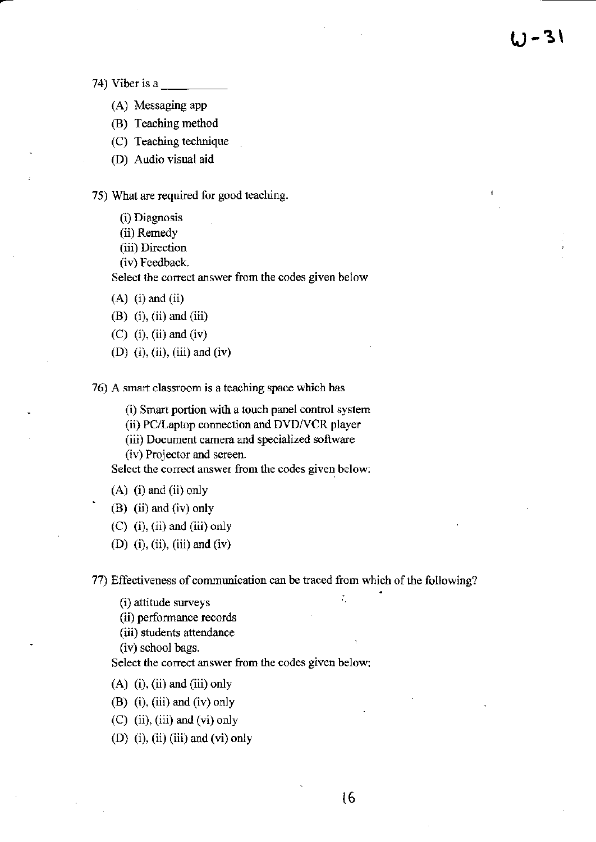74) Viber is a

- (A) Messaging app
- (B) Teaching method
- (C) Teaching technique
- (D) Audio visual aid

75) What are rcquired for good teaching.

(i) Diagnosis

(ii) Remedy

(iii) Direction

(iv) Feedback.

Select the correct answer ftom the codes given below

 $(A)$  (i) and (ii)

 $(B)$  (i), (ii) and (iii)

- $(C)$  (i), (ii) and (iv)
- (D) (i), (ii), (iii) and (iv)

76) A smart classroom is a teaching space which has

(i) Smaxt portion with a touch panel control system

(ii) PC/Laptop connection and DVD/VCR player

(iii) Document camera and specialized software

(iv) Projector and screen.

Select the corect answer ftom the codes given below:

(A) (i) and (ii) only (B) (ii) and (iv) only

 $(C)$  (i), (ii) and (iii) only

(D) (i), (ii), (iii) and (iv)

77) Effectiveness of communication can be traced ftom which of the following?

 $(i)$  attitude surveys  $\mathcal{L}$ 

(ii) performance records

(iii) students attendance

(ivl school bags.

Select the correct answer from the codes given below:

 $(A)$  (i), (ii) and (iii) only

(B)  $(i)$ ,  $(iii)$  and  $(iv)$  only

 $(C)$  (ii), (iii) and (vi) only

(D)  $(i)$ ,  $(ii)$   $(iii)$  and  $(vi)$  only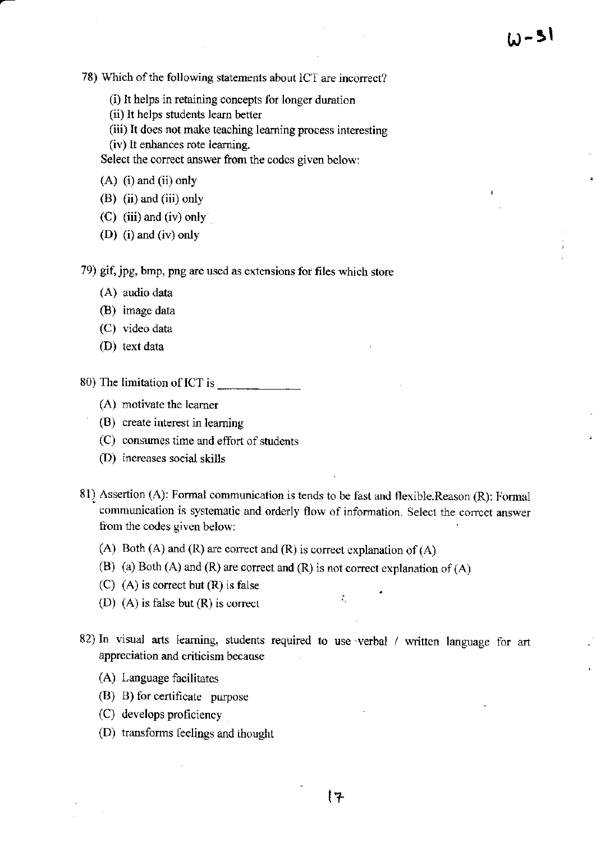78) Which of the following statements about ICT are incorrect?

- (i) It helps in retaining concepts for longer duration
- (ii) It helps students leam better
- (iii) It does not make teaching learning process interesting
- (iv) lt enhances rote learning.

Select the correct answer from the codes given below:

- $(A)$  (i) and (ii) only
- (B) (ii) and (iii) only
- $(C)$  (iii) and (iv) only
- (D) (i) and (iv) only

79) gif, jpg, bmp, png are used as extensions for files which store

- (A) audio data
- (B) image data
- (C) video data
- (D) text data
- 80) The limitation ofICT is
	- (A) motivate the leamer
	- (B) create interest in learning
	- $(C)$  consumes time and effort of students
	- (f)) increases social skills
- 81) Assertion (A): Fomal communication is tends to be fast and flexible.Reason (R): Formal communication is systematic and orderly flow of information. Select the correct answer from the codes given below:
	- (A) Both (A) and (R) are correct and (R) is correct explanation of  $(A)$
	- (B) (a) Both (A) and (R) are correct and (R) is not correct explanation of (A)
	- $(C)$  (A) is correct but  $(R)$  is false
	- (D)  $(A)$  is false but  $(R)$  is correct
- 82) In visual arts learning, students required to use verbal / written language for art appreciation ard criticism because

÷.

- (A) Language facilitates
- (B) B) for certificate purpose
- $(C)$  develops proficiency
- (D) transfonns feelings and ihought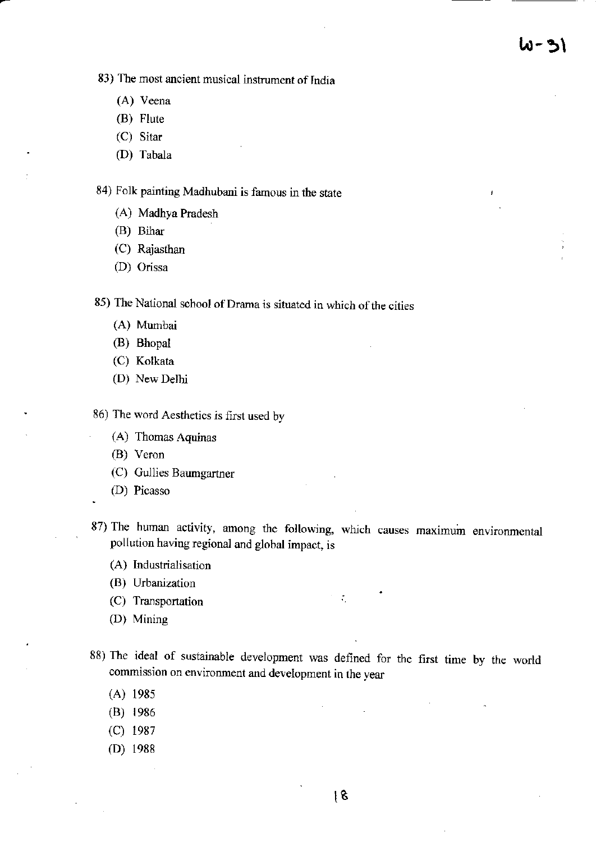83) The most ancient musical instrument of lndia

- (A) Veena
- (B) Flute
- (C) Sitar
- (D) Tabala

84) Folk painting Madhubani is famous in the state

- (A) Madhya Pradesh
- (B) Bihar
- (C) Rajasthan
- (D) Orissa

85) The National school of Drama is situated in which of the cities

- (A) Mumbai
- (B) Bhopal
- (C) Kolkata
- (D) New Delhi

86) The word Aesthetics is first used by

- (A) Thomas Aquinas
- (B) Veron
- (C) Gullies Baumgartner
- (D) Picasso
- 87) The human activity, among the following, which causes maximuin environmental pollution having regional and global impact, is

 $\mathcal{L}_\mathrm{c}$ 

- (A) Industrialisation
- (B) Urbanization
- (C) Transportation
- (D) Mining
- 88) The ideal of sustainable development was defined for the first time by the world conmission on environment and development in the year
	- (A) <sup>1985</sup>
	- (B) 1986
	- (c) <sup>1987</sup>
	- (D) <sup>1988</sup>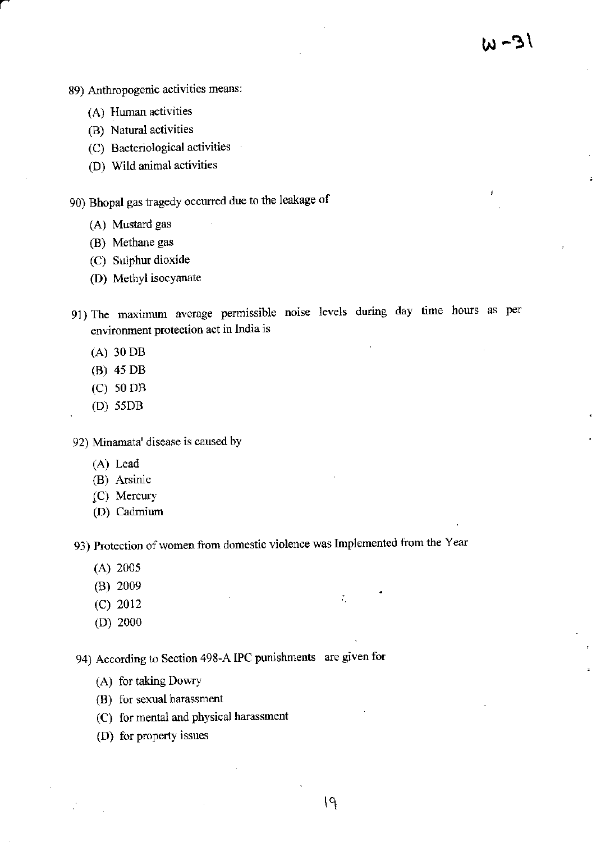- 89) Anthropogenic activities means:
	- (A) Human activities

a

- (B) Natural activities
- (C) Bacteriological activities
- (D) Wild animal activities

90) Bhopal gas tagedy occurred due to the leakage of

- (A) Mustard gas
- (B) Methane gas
- (C) Sulphur dioxide
- (D) Methyl isocyanate
- 91) The maximum average permissible noise levels during day time hours as per environment protection act in India is
	- (A) 30 DB
	- (B) 45 DB
	- (c) s0 DB
	- (D) ssDB

92) Minarnata' disease is caused by

- (A) Lead
- (B) Arsinic
- (C) Mercury
- (D) Cadmjum

93) Protection of women from domestic violence was Implemented from the Year

- (A) 2005
- (B) 2009
- (c) <sup>2012</sup>
- (D) 2000

94) According to Section 498-A IPC punishments are given for

- (A) for taking Dowry
- (B) for sexual harassment
- (C) for mental and physical harassment
- (D) for property issues

 $\mathcal{L}_\mathrm{c}$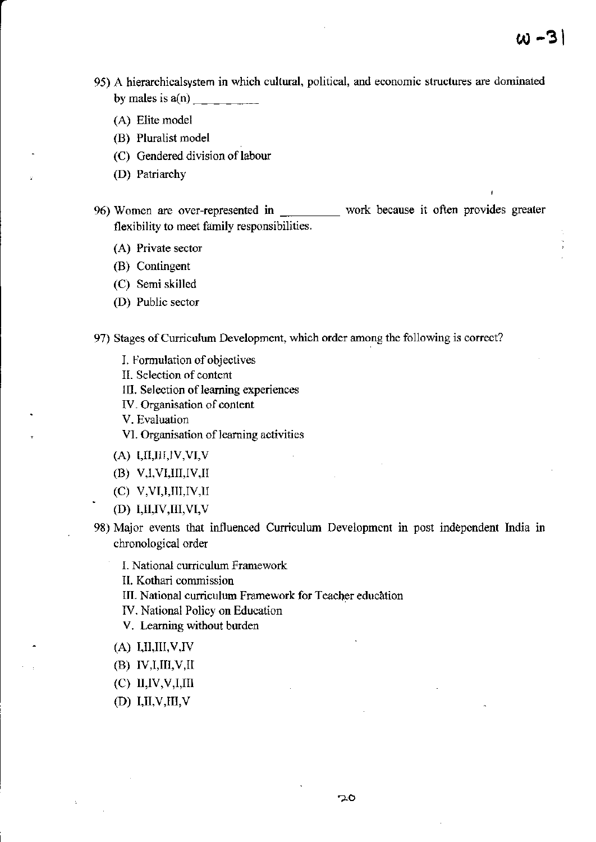- 95) A hierarchicalsystem in which cultural, political, and economic structures are dominated by males is  $a(n)$ 
	- (A) Elite model
	- (B) Pluralist model
	- (C) Gendered division of labour
	- (D) Patriarchy

96) Women are over-rcptesented in work because it often provides greater flexibility to meet family responsibilities.

- (A) Private sector
- (B) Contingent
- (C) Semi skilled
- (D) Public sector
- 97) Stages of Curriculum Development, which order among the following is correct?
	- L Formulation of objectives
	- II. Selection of content
	- IIl. Selection of leaming experiences
	- IV. Organisation of content
	- V. Evaluation
	- Vl. Organisation of leaming activities
	- $(A)$  I,II,III,IV,VI,V
	- (B) V,I,VI,III,IV,II
	- (C) V,VI,I,III,IV,II<br>(D) I,II,IV,III,VI,V
	-
- 98) Major events that inl'luenced Curiculum Developmcnt in post indepcndent India in chronological oder
	- I. National curriculum Framework
	- Il. Kothari commission
	- III. National curriculum Framework for Teacher education
	- W. National Policy on Education
	- V. Learning without burden
	- $(A)$  I,II,III,V,IV
	- $(B)$  IV,I,III,V,II
	- $(C)$  ll,  $IV, V, I, \Pi$
	- $(D)$  I,II,V,III,V